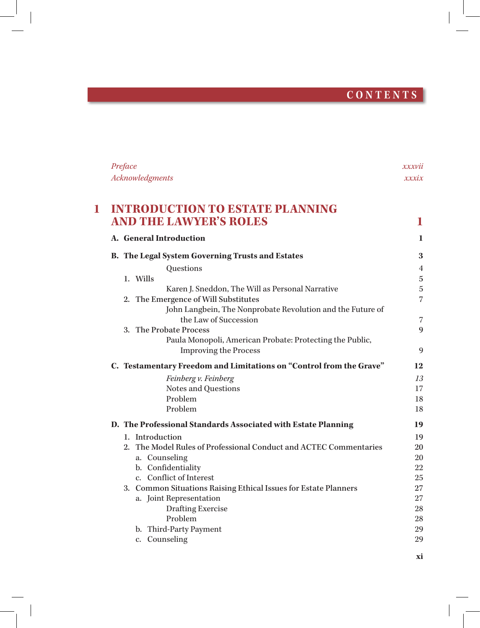# **CONTENTS**

|   | Preface                                                             | xxxvii         |
|---|---------------------------------------------------------------------|----------------|
|   | Acknowledgments                                                     | xxxix          |
| 1 | <b>INTRODUCTION TO ESTATE PLANNING</b>                              |                |
|   | <b>AND THE LAWYER'S ROLES</b>                                       | 1              |
|   | A. General Introduction                                             | 1              |
|   | <b>B.</b> The Legal System Governing Trusts and Estates             | 3              |
|   | Questions                                                           | $\overline{4}$ |
|   | 1. Wills                                                            | $\bf 5$        |
|   | Karen J. Sneddon, The Will as Personal Narrative                    | $\mathbf 5$    |
|   | 2. The Emergence of Will Substitutes                                | $\overline{7}$ |
|   | John Langbein, The Nonprobate Revolution and the Future of          |                |
|   | the Law of Succession                                               | 7              |
|   | 3. The Probate Process                                              | $\mathbf{Q}$   |
|   | Paula Monopoli, American Probate: Protecting the Public,            |                |
|   | <b>Improving the Process</b>                                        | 9              |
|   | C. Testamentary Freedom and Limitations on "Control from the Grave" | 12             |
|   | Feinberg v. Feinberg                                                | 13             |
|   | Notes and Questions                                                 | 17             |
|   | Problem                                                             | 18             |
|   | Problem                                                             | 18             |
|   | D. The Professional Standards Associated with Estate Planning       | 19             |
|   | 1. Introduction                                                     | 19             |
|   | 2. The Model Rules of Professional Conduct and ACTEC Commentaries   | 20             |
|   | a. Counseling                                                       | 20             |
|   | b. Confidentiality                                                  | 22             |
|   | c. Conflict of Interest                                             | 25             |
|   | 3. Common Situations Raising Ethical Issues for Estate Planners     | 27             |
|   | a. Joint Representation                                             | 27             |
|   | <b>Drafting Exercise</b>                                            | 28             |
|   | Problem                                                             | 28             |
|   | b. Third-Party Payment                                              | 29             |
|   | c. Counseling                                                       | 29             |

 $\overline{\phantom{a}}$ 

**xi**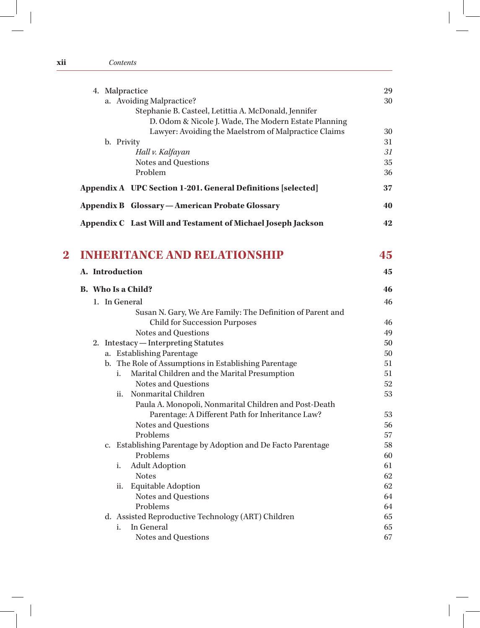| 4. Malpractice                                               | 29 |
|--------------------------------------------------------------|----|
| a. Avoiding Malpractice?                                     | 30 |
| Stephanie B. Casteel, Letittia A. McDonald, Jennifer         |    |
| D. Odom & Nicole J. Wade, The Modern Estate Planning         |    |
| Lawyer: Avoiding the Maelstrom of Malpractice Claims         | 30 |
| b. Privity                                                   |    |
| Hall v. Kalfayan                                             | 31 |
| Notes and Questions                                          | 35 |
| Problem                                                      | 36 |
| Appendix A UPC Section 1-201. General Definitions [selected] | 37 |
| Appendix B Glossary - American Probate Glossary              | 40 |
| Appendix C Last Will and Testament of Michael Joseph Jackson | 42 |

**xii** *Contents*

| <b>INHERITANCE AND RELATIONSHIP</b> |  |
|-------------------------------------|--|
|-------------------------------------|--|

|  | A. Introduction                                                   |                                                            | 45 |  |  |
|--|-------------------------------------------------------------------|------------------------------------------------------------|----|--|--|
|  | <b>B.</b> Who Is a Child?                                         |                                                            |    |  |  |
|  |                                                                   | 1. In General                                              | 46 |  |  |
|  |                                                                   | Susan N. Gary, We Are Family: The Definition of Parent and |    |  |  |
|  | <b>Child for Succession Purposes</b>                              |                                                            |    |  |  |
|  | Notes and Questions                                               |                                                            |    |  |  |
|  | 2. Intestacy - Interpreting Statutes<br>a. Establishing Parentage |                                                            |    |  |  |
|  |                                                                   |                                                            |    |  |  |
|  |                                                                   | b. The Role of Assumptions in Establishing Parentage       | 51 |  |  |
|  |                                                                   | Marital Children and the Marital Presumption<br>i.         | 51 |  |  |
|  |                                                                   | Notes and Questions                                        | 52 |  |  |
|  |                                                                   | Nonmarital Children<br>ii.                                 | 53 |  |  |
|  |                                                                   | Paula A. Monopoli, Nonmarital Children and Post-Death      |    |  |  |
|  |                                                                   | Parentage: A Different Path for Inheritance Law?           | 53 |  |  |
|  |                                                                   | Notes and Questions                                        | 56 |  |  |
|  | Problems                                                          |                                                            | 57 |  |  |
|  | c. Establishing Parentage by Adoption and De Facto Parentage      |                                                            |    |  |  |
|  | Problems                                                          |                                                            | 60 |  |  |
|  |                                                                   | <b>Adult Adoption</b><br>i.                                | 61 |  |  |
|  |                                                                   | <b>Notes</b>                                               | 62 |  |  |
|  |                                                                   | <b>Equitable Adoption</b><br>ii.                           | 62 |  |  |
|  |                                                                   | Notes and Questions                                        | 64 |  |  |
|  |                                                                   | Problems                                                   | 64 |  |  |
|  |                                                                   | d. Assisted Reproductive Technology (ART) Children         | 65 |  |  |
|  |                                                                   | In General<br>i.                                           | 65 |  |  |
|  |                                                                   | Notes and Questions                                        | 67 |  |  |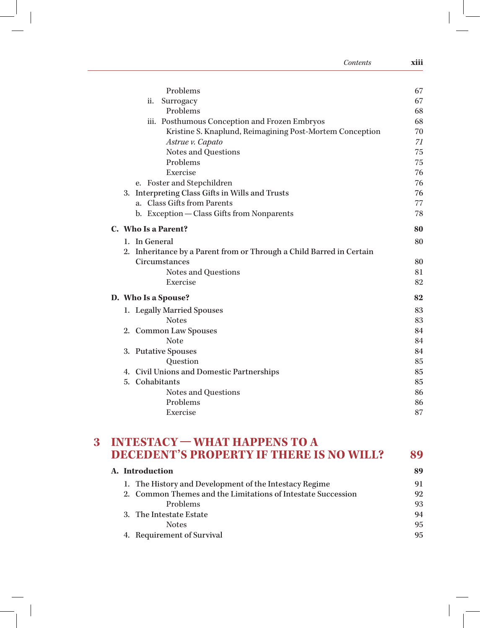| Contents                                                             | xiii |
|----------------------------------------------------------------------|------|
| Problems                                                             | 67   |
| Surrogacy<br>ii.                                                     | 67   |
| Problems                                                             | 68   |
| iii. Posthumous Conception and Frozen Embryos                        | 68   |
| Kristine S. Knaplund, Reimagining Post-Mortem Conception             | 70   |
| Astrue v. Capato                                                     | 71   |
| Notes and Questions                                                  | 75   |
| Problems                                                             | 75   |
| Exercise                                                             | 76   |
| e. Foster and Stepchildren                                           | 76   |
| 3. Interpreting Class Gifts in Wills and Trusts                      | 76   |
| a. Class Gifts from Parents                                          | 77   |
| b. Exception - Class Gifts from Nonparents                           | 78   |
| C. Who Is a Parent?                                                  | 80   |
| 1. In General                                                        | 80   |
| 2. Inheritance by a Parent from or Through a Child Barred in Certain |      |
| Circumstances                                                        | 80   |
| Notes and Questions                                                  | 81   |
| Exercise                                                             | 82   |
| D. Who Is a Spouse?                                                  | 82   |
| 1. Legally Married Spouses                                           | 83   |
| <b>Notes</b>                                                         | 83   |
| 2. Common Law Spouses                                                | 84   |
| <b>Note</b>                                                          | 84   |
| 3. Putative Spouses                                                  | 84   |
| Question                                                             | 85   |
| 4. Civil Unions and Domestic Partnerships                            | 85   |
| 5. Cohabitants                                                       | 85   |
|                                                                      | 86   |
| Notes and Questions                                                  |      |
| Problems                                                             | 86   |

## **3 INTESTACY—WHAT HAPPENS TO A DECEDENT'S PROPERTY IF THERE IS NO WILL? 89**

| A. Introduction                                              |    |  |  |
|--------------------------------------------------------------|----|--|--|
| 1. The History and Development of the Intestacy Regime       | 91 |  |  |
| 2. Common Themes and the Limitations of Intestate Succession | 92 |  |  |
| Problems                                                     | 93 |  |  |
| 3. The Intestate Estate                                      | 94 |  |  |
| <b>Notes</b>                                                 | 95 |  |  |
| 4. Requirement of Survival                                   | 95 |  |  |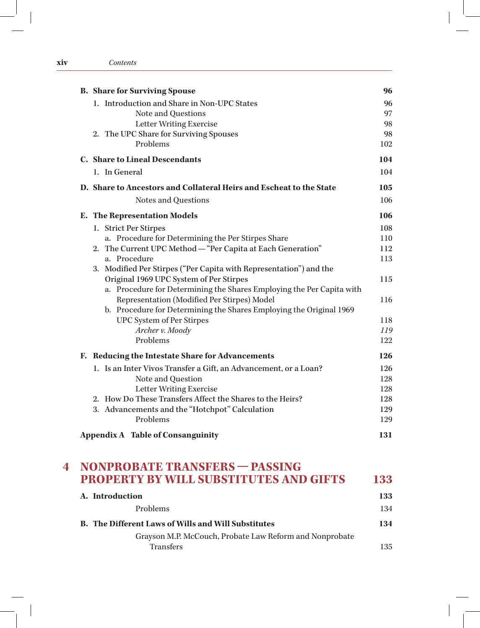### **xiv** *Contents*

| <b>B.</b> Share for Surviving Spouse                                  | 96         |
|-----------------------------------------------------------------------|------------|
| 1. Introduction and Share in Non-UPC States                           | 96         |
| Note and Questions                                                    | 97         |
| <b>Letter Writing Exercise</b>                                        | 98         |
| 2. The UPC Share for Surviving Spouses                                | 98         |
| Problems                                                              | 102        |
| <b>C.</b> Share to Lineal Descendants                                 | 104        |
| 1. In General                                                         | 104        |
| D. Share to Ancestors and Collateral Heirs and Escheat to the State   | 105        |
| Notes and Questions                                                   | 106        |
| E. The Representation Models                                          | 106        |
| 1. Strict Per Stirpes                                                 | 108        |
| a. Procedure for Determining the Per Stirpes Share                    | 110        |
| 2. The Current UPC Method - "Per Capita at Each Generation"           | 112        |
| a. Procedure                                                          | 113        |
| 3. Modified Per Stirpes ("Per Capita with Representation") and the    |            |
| Original 1969 UPC System of Per Stirpes                               | 115        |
| a. Procedure for Determining the Shares Employing the Per Capita with |            |
| Representation (Modified Per Stirpes) Model                           | 116        |
| b. Procedure for Determining the Shares Employing the Original 1969   |            |
| <b>UPC System of Per Stirpes</b><br>Archer v. Moody                   | 118<br>119 |
| Problems                                                              | 122        |
|                                                                       |            |
| F. Reducing the Intestate Share for Advancements                      | 126        |
| 1. Is an Inter Vivos Transfer a Gift, an Advancement, or a Loan?      | 126        |
| Note and Question                                                     | 128        |
| <b>Letter Writing Exercise</b>                                        | 128        |
| 2. How Do These Transfers Affect the Shares to the Heirs?             | 128        |
| 3. Advancements and the "Hotchpot" Calculation                        | 129        |
| Problems                                                              | 129        |
| <b>Appendix A Table of Consanguinity</b>                              | 131        |

| A. Introduction                                            | 133 |
|------------------------------------------------------------|-----|
| <b>Problems</b>                                            | 134 |
| <b>B.</b> The Different Laws of Wills and Will Substitutes | 134 |
| Grayson M.P. McCouch, Probate Law Reform and Nonprobate    |     |
| <b>Transfers</b>                                           | 135 |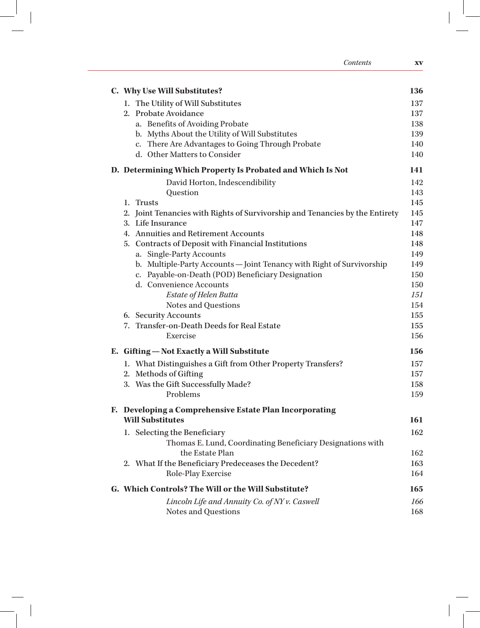| Contents                                                                     | XV         |
|------------------------------------------------------------------------------|------------|
| C. Why Use Will Substitutes?                                                 | 136        |
| 1. The Utility of Will Substitutes                                           | 137        |
| 2. Probate Avoidance                                                         | 137        |
| a. Benefits of Avoiding Probate                                              | 138        |
| b. Myths About the Utility of Will Substitutes                               | 139        |
| c. There Are Advantages to Going Through Probate                             | 140        |
| d. Other Matters to Consider                                                 | 140        |
| D. Determining Which Property Is Probated and Which Is Not                   | 141        |
| David Horton, Indescendibility                                               | 142        |
| Question                                                                     | 143        |
| 1. Trusts                                                                    | 145        |
| 2. Joint Tenancies with Rights of Survivorship and Tenancies by the Entirety | 145        |
| 3. Life Insurance                                                            | 147        |
| 4. Annuities and Retirement Accounts                                         | 148        |
| 5. Contracts of Deposit with Financial Institutions                          | 148        |
| a. Single-Party Accounts                                                     | 149        |
| b. Multiple-Party Accounts-Joint Tenancy with Right of Survivorship          | 149        |
| c. Payable-on-Death (POD) Beneficiary Designation                            | 150        |
| d. Convenience Accounts                                                      | 150        |
| Estate of Helen Butta                                                        | <i>151</i> |
| Notes and Questions                                                          | 154        |
| 6. Security Accounts                                                         | 155        |
| 7. Transfer-on-Death Deeds for Real Estate                                   | 155        |
| Exercise                                                                     | 156        |
| E. Gifting - Not Exactly a Will Substitute                                   | 156        |
| 1. What Distinguishes a Gift from Other Property Transfers?                  | 157        |
| 2. Methods of Gifting                                                        | 157        |
| 3. Was the Gift Successfully Made?                                           | 158        |
| Problems                                                                     | 159        |
| F. Developing a Comprehensive Estate Plan Incorporating                      |            |
| <b>Will Substitutes</b>                                                      | 161        |
| 1. Selecting the Beneficiary                                                 | 162        |
| Thomas E. Lund, Coordinating Beneficiary Designations with                   |            |
| the Estate Plan                                                              | 162        |
| 2. What If the Beneficiary Predeceases the Decedent?                         | 163        |
| Role-Play Exercise                                                           | 164        |
| G. Which Controls? The Will or the Will Substitute?                          | 165        |
| Lincoln Life and Annuity Co. of NY v. Caswell                                | 166        |
| Notes and Questions                                                          | 168        |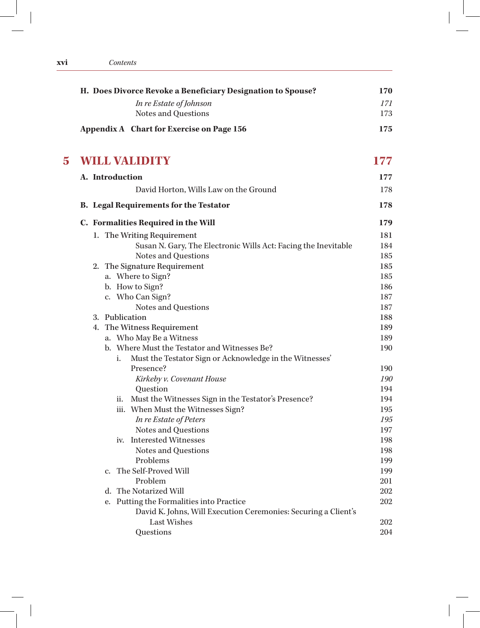| Contents |
|----------|
|----------|

| H. Does Divorce Revoke a Beneficiary Designation to Spouse? | 170 |
|-------------------------------------------------------------|-----|
| In re Estate of Johnson                                     | 171 |
| Notes and Questions                                         | 173 |
| Appendix A Chart for Exercise on Page 156                   | 175 |

## **5 WILL VALIDITY 177**

|    |             |     | A. Introduction                                                | 177        |
|----|-------------|-----|----------------------------------------------------------------|------------|
|    |             |     | David Horton, Wills Law on the Ground                          | 178        |
|    |             |     | <b>B.</b> Legal Requirements for the Testator                  | 178        |
|    |             |     | C. Formalities Required in the Will                            | 179        |
|    |             |     | 1. The Writing Requirement                                     | 181        |
|    |             |     | Susan N. Gary, The Electronic Wills Act: Facing the Inevitable | 184        |
|    |             |     | Notes and Questions                                            | 185        |
|    |             |     | 2. The Signature Requirement                                   | 185        |
|    |             |     | a. Where to Sign?                                              | 185        |
|    |             |     | b. How to Sign?                                                | 186        |
|    |             |     | c. Who Can Sign?                                               | 187        |
|    |             |     | Notes and Questions                                            | 187        |
|    |             |     | 3. Publication                                                 | 188        |
| 4. |             |     | The Witness Requirement                                        | 189        |
|    |             |     | a. Who May Be a Witness                                        | 189        |
|    |             |     | b. Where Must the Testator and Witnesses Be?                   | 190        |
|    |             | i.  | Must the Testator Sign or Acknowledge in the Witnesses'        |            |
|    |             |     | Presence?                                                      | 190        |
|    |             |     | Kirkeby v. Covenant House                                      | 190        |
|    |             |     | Question                                                       | 194        |
|    |             | ii. | Must the Witnesses Sign in the Testator's Presence?            | 194        |
|    |             |     | iii. When Must the Witnesses Sign?                             | 195        |
|    |             |     | In re Estate of Peters                                         | 195        |
|    |             |     | Notes and Questions                                            | 197        |
|    |             |     | iv. Interested Witnesses                                       | 198<br>198 |
|    |             |     | Notes and Questions<br>Problems                                | 199        |
|    | $C_{\star}$ |     | The Self-Proved Will                                           | 199        |
|    |             |     | Problem                                                        | 201        |
|    | d.          |     | The Notarized Will                                             | 202        |
|    | e.          |     | Putting the Formalities into Practice                          | 202        |
|    |             |     | David K. Johns, Will Execution Ceremonies: Securing a Client's |            |
|    |             |     | <b>Last Wishes</b>                                             | 202        |
|    |             |     | Questions                                                      | 204        |
|    |             |     |                                                                |            |

**xvi** *Contents*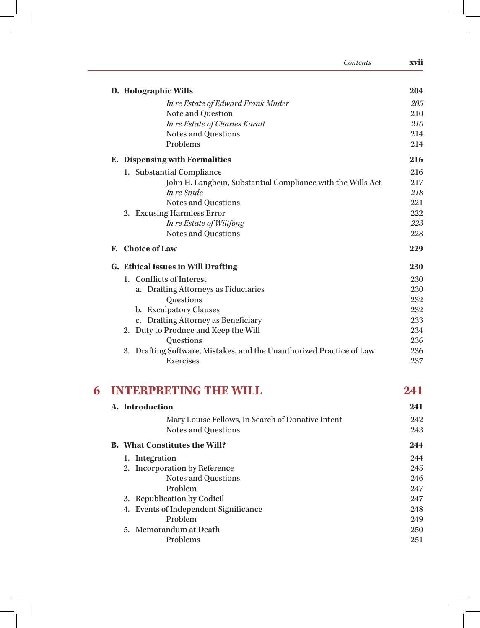|   | Contents                                                                          | xvii       |
|---|-----------------------------------------------------------------------------------|------------|
|   | D. Holographic Wills                                                              | 204        |
|   | In re Estate of Edward Frank Muder                                                | 205        |
|   | Note and Question                                                                 | 210        |
|   | In re Estate of Charles Kuralt                                                    | 210        |
|   | Notes and Questions                                                               | 214        |
|   | Problems                                                                          | 214        |
|   | E. Dispensing with Formalities                                                    | 216        |
|   | 1. Substantial Compliance                                                         | 216        |
|   | John H. Langbein, Substantial Compliance with the Wills Act                       | 217        |
|   | In re Snide                                                                       | 218        |
|   | Notes and Questions                                                               | 221        |
|   | 2. Excusing Harmless Error                                                        | 222        |
|   | In re Estate of Wiltfong                                                          | 223        |
|   | Notes and Questions                                                               | 228        |
|   | F. Choice of Law                                                                  | 229        |
|   | <b>G. Ethical Issues in Will Drafting</b>                                         | 230        |
|   | 1. Conflicts of Interest                                                          | 230        |
|   | a. Drafting Attorneys as Fiduciaries                                              | 230        |
|   | Questions                                                                         | 232        |
|   | b. Exculpatory Clauses                                                            | 232        |
|   | c. Drafting Attorney as Beneficiary                                               | 233        |
|   | 2. Duty to Produce and Keep the Will                                              | 234        |
|   | Questions                                                                         | 236        |
|   | 3. Drafting Software, Mistakes, and the Unauthorized Practice of Law<br>Exercises | 236<br>237 |
|   |                                                                                   |            |
| 6 | INTERPRETNG THE WILL                                                              | 241        |
|   | A. Introduction                                                                   | 241        |
|   | Mary Louise Fellows, In Search of Donative Intent                                 | 242        |
|   | Notes and Questions                                                               | 243        |
|   | <b>B.</b> What Constitutes the Will?                                              | 244        |
|   | 1. Integration                                                                    | 244        |
|   | 2. Incorporation by Reference                                                     | 245        |
|   | Notes and Questions                                                               | 246        |
|   | Problem                                                                           | 247        |
|   | 3. Republication by Codicil                                                       | 247        |
|   | 4. Events of Independent Significance                                             | 248        |
|   | Problem                                                                           | 249        |
|   | 5. Memorandum at Death                                                            | 250        |
|   | Problems                                                                          | 251        |

 $\mathbb{L}^{\vert}$   $\vert$ 

 $\overline{a}$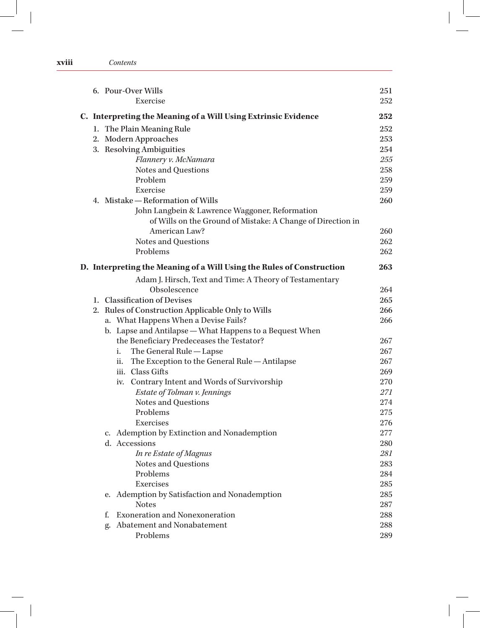|                                                                | 6. Pour-Over Wills                                                    | 251 |  |  |
|----------------------------------------------------------------|-----------------------------------------------------------------------|-----|--|--|
|                                                                | Exercise                                                              | 252 |  |  |
| C. Interpreting the Meaning of a Will Using Extrinsic Evidence |                                                                       |     |  |  |
|                                                                | 1. The Plain Meaning Rule                                             | 252 |  |  |
|                                                                | 2. Modern Approaches                                                  | 253 |  |  |
|                                                                | 3. Resolving Ambiguities                                              | 254 |  |  |
|                                                                | Flannery v. McNamara                                                  | 255 |  |  |
|                                                                | Notes and Questions                                                   | 258 |  |  |
|                                                                | Problem                                                               | 259 |  |  |
|                                                                | Exercise                                                              | 259 |  |  |
|                                                                | 4. Mistake – Reformation of Wills                                     | 260 |  |  |
|                                                                | John Langbein & Lawrence Waggoner, Reformation                        |     |  |  |
|                                                                | of Wills on the Ground of Mistake: A Change of Direction in           |     |  |  |
|                                                                | American Law?                                                         | 260 |  |  |
|                                                                | Notes and Questions                                                   | 262 |  |  |
|                                                                | Problems                                                              | 262 |  |  |
|                                                                | D. Interpreting the Meaning of a Will Using the Rules of Construction | 263 |  |  |
|                                                                | Adam J. Hirsch, Text and Time: A Theory of Testamentary               |     |  |  |
|                                                                | Obsolescence                                                          | 264 |  |  |
|                                                                | 1. Classification of Devises                                          | 265 |  |  |
| 2.                                                             | Rules of Construction Applicable Only to Wills                        | 266 |  |  |
|                                                                | a. What Happens When a Devise Fails?                                  | 266 |  |  |
|                                                                | b. Lapse and Antilapse - What Happens to a Bequest When               |     |  |  |
|                                                                | the Beneficiary Predeceases the Testator?                             | 267 |  |  |
|                                                                | The General Rule - Lapse<br>i.                                        | 267 |  |  |
|                                                                | The Exception to the General Rule - Antilapse<br>ii.                  | 267 |  |  |
|                                                                | iii. Class Gifts                                                      | 269 |  |  |
|                                                                | iv. Contrary Intent and Words of Survivorship                         | 270 |  |  |
|                                                                | Estate of Tolman v. Jennings                                          | 271 |  |  |
|                                                                | Notes and Questions                                                   | 274 |  |  |
|                                                                | Problems                                                              | 275 |  |  |
|                                                                | Exercises                                                             | 276 |  |  |
|                                                                | c. Ademption by Extinction and Nonademption                           | 277 |  |  |
|                                                                | d. Accessions                                                         | 280 |  |  |
|                                                                | In re Estate of Magnus                                                | 281 |  |  |
|                                                                | Notes and Questions                                                   | 283 |  |  |
|                                                                | Problems                                                              | 284 |  |  |
|                                                                | Exercises                                                             | 285 |  |  |
|                                                                | Ademption by Satisfaction and Nonademption<br>е.                      | 285 |  |  |
|                                                                | <b>Notes</b>                                                          | 287 |  |  |
|                                                                | <b>Exoneration and Nonexoneration</b><br>f.                           | 288 |  |  |
|                                                                | Abatement and Nonabatement<br>g.                                      | 288 |  |  |
|                                                                | Problems                                                              | 289 |  |  |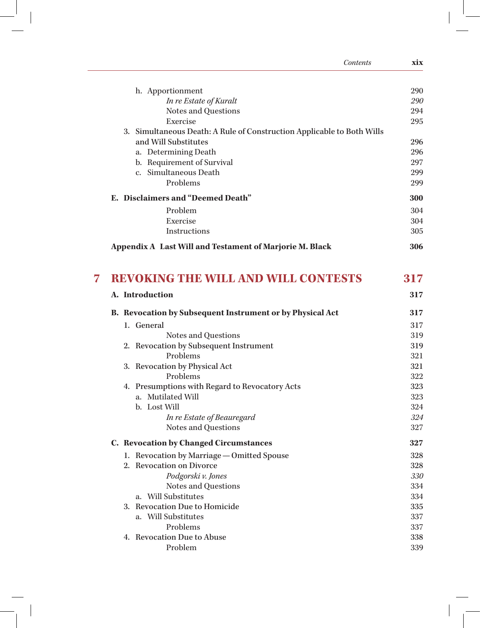| Contents                                                               | xix |
|------------------------------------------------------------------------|-----|
| h. Apportionment                                                       | 290 |
| In re Estate of Kuralt                                                 | 290 |
| Notes and Questions                                                    | 294 |
| Exercise                                                               | 295 |
| 3. Simultaneous Death: A Rule of Construction Applicable to Both Wills |     |
| and Will Substitutes                                                   | 296 |
| a. Determining Death                                                   | 296 |
| b. Requirement of Survival                                             | 297 |
| c. Simultaneous Death                                                  | 299 |
| Problems                                                               | 299 |
| E. Disclaimers and "Deemed Death"                                      | 300 |
| Problem                                                                | 304 |
| Exercise                                                               | 304 |
| Instructions                                                           | 305 |
| Appendix A Last Will and Testament of Marjorie M. Black                | 306 |
| <b>REVOKING THE WILL AND WILL CONTESTS</b>                             | 317 |
| A. Introduction                                                        | 317 |
| B. Revocation by Subsequent Instrument or by Physical Act              | 317 |
| 1. General                                                             | 317 |
| Notes and Questions                                                    | 319 |
| 2. Revocation by Subsequent Instrument                                 | 319 |
| Problems                                                               | 321 |
| 3. Revocation by Physical Act                                          | 321 |
| Problems                                                               | 322 |
| 4. Presumptions with Regard to Revocatory Acts                         | 323 |
| a. Mutilated Will                                                      | 323 |
| b. Lost Will                                                           | 324 |
| In re Estate of Beauregard                                             | 324 |
| Notes and Questions                                                    | 327 |
| C. Revocation by Changed Circumstances                                 | 327 |
| 1. Revocation by Marriage - Omitted Spouse                             | 328 |
| 2. Revocation on Divorce                                               | 328 |
| Podgorski v. Jones                                                     | 330 |
| Notes and Questions                                                    | 334 |
| a. Will Substitutes                                                    | 334 |
| 3. Revocation Due to Homicide                                          | 335 |
| a. Will Substitutes                                                    | 337 |
| Problems                                                               | 337 |
| 4. Revocation Due to Abuse                                             | 338 |
| Problem                                                                | 339 |

 $\sqrt{2}$ 

 $\mathbb{L}^{\vert}$   $\vert$ 

 $\frac{1}{\sqrt{1}}$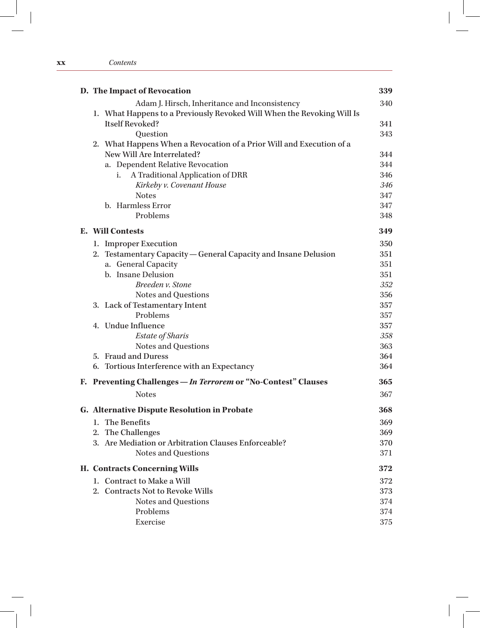### **xx** *Contents*

| D. The Impact of Revocation                                            | 339 |
|------------------------------------------------------------------------|-----|
| Adam J. Hirsch, Inheritance and Inconsistency                          | 340 |
| 1. What Happens to a Previously Revoked Will When the Revoking Will Is |     |
| <b>Itself Revoked?</b>                                                 | 341 |
| Question                                                               | 343 |
| 2. What Happens When a Revocation of a Prior Will and Execution of a   |     |
| New Will Are Interrelated?                                             | 344 |
| a. Dependent Relative Revocation                                       | 344 |
| A Traditional Application of DRR<br>i.                                 | 346 |
| Kirkeby v. Covenant House                                              | 346 |
| <b>Notes</b>                                                           | 347 |
| b. Harmless Error                                                      | 347 |
| Problems                                                               | 348 |
| <b>E.</b> Will Contests                                                | 349 |
| 1. Improper Execution                                                  | 350 |
| 2. Testamentary Capacity - General Capacity and Insane Delusion        | 351 |
| a. General Capacity                                                    | 351 |
| b. Insane Delusion                                                     | 351 |
| Breeden v. Stone                                                       | 352 |
| Notes and Questions                                                    | 356 |
| 3. Lack of Testamentary Intent                                         | 357 |
| Problems                                                               | 357 |
| 4. Undue Influence                                                     | 357 |
| Estate of Sharis                                                       | 358 |
| Notes and Questions                                                    | 363 |
| 5. Fraud and Duress                                                    | 364 |
| Tortious Interference with an Expectancy<br>6.                         | 364 |
| F. Preventing Challenges - In Terrorem or "No-Contest" Clauses         | 365 |
| <b>Notes</b>                                                           | 367 |
| G. Alternative Dispute Resolution in Probate                           | 368 |
| 1. The Benefits                                                        | 369 |
| 2. The Challenges                                                      | 369 |
| 3. Are Mediation or Arbitration Clauses Enforceable?                   | 370 |
| Notes and Questions                                                    | 371 |
| H. Contracts Concerning Wills                                          | 372 |
| 1. Contract to Make a Will                                             | 372 |
| 2. Contracts Not to Revoke Wills                                       | 373 |
| Notes and Questions                                                    | 374 |
| Problems                                                               | 374 |
| Exercise                                                               | 375 |
|                                                                        |     |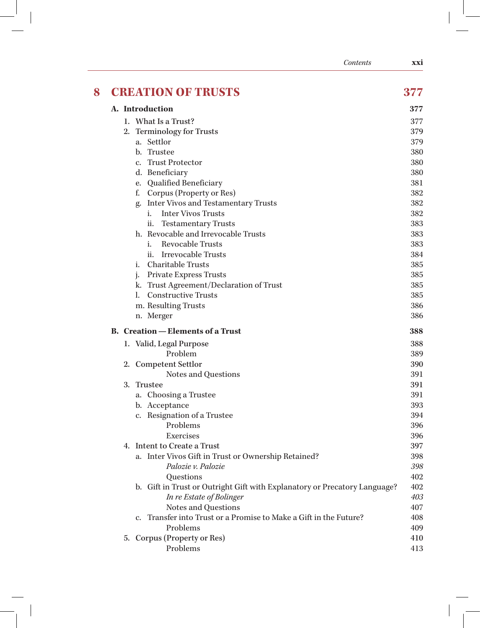|   | Contents                                                                      | xxi |
|---|-------------------------------------------------------------------------------|-----|
| 8 | <b>CREATION OF TRUSTS</b>                                                     | 377 |
|   | A. Introduction                                                               | 377 |
|   | 1. What Is a Trust?                                                           | 377 |
|   | <b>Terminology for Trusts</b><br>2.                                           | 379 |
|   | a. Settlor                                                                    | 379 |
|   | b. Trustee                                                                    | 380 |
|   | <b>Trust Protector</b><br>$c_{\cdot}$                                         | 380 |
|   | d. Beneficiary                                                                | 380 |
|   | <b>Qualified Beneficiary</b><br>e.                                            | 381 |
|   | f.<br>Corpus (Property or Res)                                                | 382 |
|   | <b>Inter Vivos and Testamentary Trusts</b>                                    | 382 |
|   | g.<br><b>Inter Vivos Trusts</b><br>i.                                         | 382 |
|   | <b>Testamentary Trusts</b>                                                    | 383 |
|   | 11.<br>h. Revocable and Irrevocable Trusts                                    | 383 |
|   | <b>Revocable Trusts</b><br>i.                                                 | 383 |
|   | <b>Irrevocable Trusts</b><br>ii.                                              | 384 |
|   | <b>Charitable Trusts</b><br>i.                                                | 385 |
|   |                                                                               | 385 |
|   | Private Express Trusts<br>j.<br>Trust Agreement/Declaration of Trust          | 385 |
|   | k.<br><b>Constructive Trusts</b><br>l.                                        | 385 |
|   |                                                                               | 386 |
|   | m. Resulting Trusts                                                           | 386 |
|   | n. Merger                                                                     |     |
|   | <b>B.</b> Creation – Elements of a Trust                                      | 388 |
|   | 1. Valid, Legal Purpose                                                       | 388 |
|   | Problem                                                                       | 389 |
|   | 2. Competent Settlor                                                          | 390 |
|   | Notes and Questions                                                           | 391 |
|   | <b>Trustee</b><br>3.                                                          | 391 |
|   | a. Choosing a Trustee                                                         | 391 |
|   | b. Acceptance                                                                 | 393 |
|   | c. Resignation of a Trustee                                                   | 394 |
|   | Problems                                                                      | 396 |
|   | Exercises                                                                     | 396 |
|   | 4. Intent to Create a Trust                                                   | 397 |
|   | a. Inter Vivos Gift in Trust or Ownership Retained?                           | 398 |
|   | Palozie v. Palozie                                                            | 398 |
|   | Questions                                                                     | 402 |
|   | b. Gift in Trust or Outright Gift with Explanatory or Precatory Language?     | 402 |
|   | In re Estate of Bolinger                                                      | 403 |
|   | Notes and Questions                                                           | 407 |
|   | Transfer into Trust or a Promise to Make a Gift in the Future?<br>$c_{\cdot}$ | 408 |
|   | Problems                                                                      | 409 |
|   | 5. Corpus (Property or Res)                                                   | 410 |
|   | Problems                                                                      | 413 |
|   |                                                                               |     |

 $\sqrt{2}$ 

 $\mathbb{L}^{\vert}$   $\vert$ 

 $\frac{1}{\sqrt{1}}$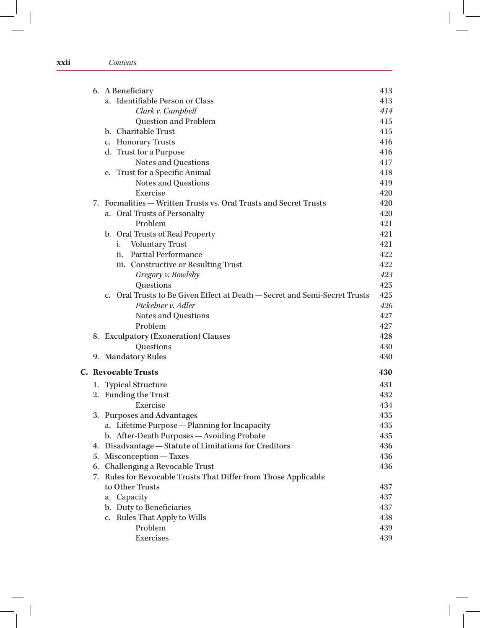### **xxii** *Contents*

|    | 6. A Beneficiary                                                                         | 413 |  |  |  |
|----|------------------------------------------------------------------------------------------|-----|--|--|--|
|    | a. Identifiable Person or Class                                                          | 413 |  |  |  |
|    | Clark v. Campbell                                                                        | 414 |  |  |  |
|    | Question and Problem                                                                     | 415 |  |  |  |
|    | b. Charitable Trust                                                                      | 415 |  |  |  |
|    | c. Honorary Trusts                                                                       | 416 |  |  |  |
|    | d. Trust for a Purpose                                                                   | 416 |  |  |  |
|    | Notes and Questions                                                                      | 417 |  |  |  |
|    | Trust for a Specific Animal<br>e.                                                        | 418 |  |  |  |
|    | Notes and Questions                                                                      | 419 |  |  |  |
|    | Exercise                                                                                 | 420 |  |  |  |
|    | 7. Formalities – Written Trusts vs. Oral Trusts and Secret Trusts                        | 420 |  |  |  |
|    | a. Oral Trusts of Personalty                                                             | 420 |  |  |  |
|    | Problem                                                                                  | 421 |  |  |  |
|    | b. Oral Trusts of Real Property                                                          | 421 |  |  |  |
|    | <b>Voluntary Trust</b><br>i.                                                             | 421 |  |  |  |
|    | <b>Partial Performance</b><br>ii.                                                        | 422 |  |  |  |
|    | iii. Constructive or Resulting Trust                                                     | 422 |  |  |  |
|    | Gregory v. Bowlsby                                                                       | 423 |  |  |  |
|    | Questions                                                                                | 425 |  |  |  |
|    | Oral Trusts to Be Given Effect at Death – Secret and Semi-Secret Trusts<br>$C_{\bullet}$ | 425 |  |  |  |
|    | Pickelner v. Adler                                                                       | 426 |  |  |  |
|    | Notes and Questions                                                                      | 427 |  |  |  |
|    | Problem                                                                                  | 427 |  |  |  |
|    | 8. Exculpatory (Exoneration) Clauses                                                     | 428 |  |  |  |
|    | Questions                                                                                | 430 |  |  |  |
|    | 9. Mandatory Rules                                                                       | 430 |  |  |  |
|    | <b>C.</b> Revocable Trusts<br>430                                                        |     |  |  |  |
|    | 1. Typical Structure                                                                     | 431 |  |  |  |
|    | 2. Funding the Trust                                                                     | 432 |  |  |  |
|    | Exercise                                                                                 | 434 |  |  |  |
| 3. | <b>Purposes and Advantages</b>                                                           | 435 |  |  |  |
|    | a. Lifetime Purpose - Planning for Incapacity                                            | 435 |  |  |  |
|    | b. After-Death Purposes - Avoiding Probate                                               | 435 |  |  |  |
|    | 4. Disadvantage - Statute of Limitations for Creditors                                   | 436 |  |  |  |
| 5. | Misconception — Taxes                                                                    | 436 |  |  |  |
| 6. | Challenging a Revocable Trust                                                            | 436 |  |  |  |
| 7. | Rules for Revocable Trusts That Differ from Those Applicable                             |     |  |  |  |
|    | to Other Trusts                                                                          | 437 |  |  |  |
|    | a. Capacity                                                                              | 437 |  |  |  |
|    | b. Duty to Beneficiaries                                                                 | 437 |  |  |  |
|    | c. Rules That Apply to Wills                                                             | 438 |  |  |  |
|    | Problem                                                                                  | 439 |  |  |  |
|    | Exercises                                                                                | 439 |  |  |  |
|    |                                                                                          |     |  |  |  |

 $\overline{\phantom{a}}$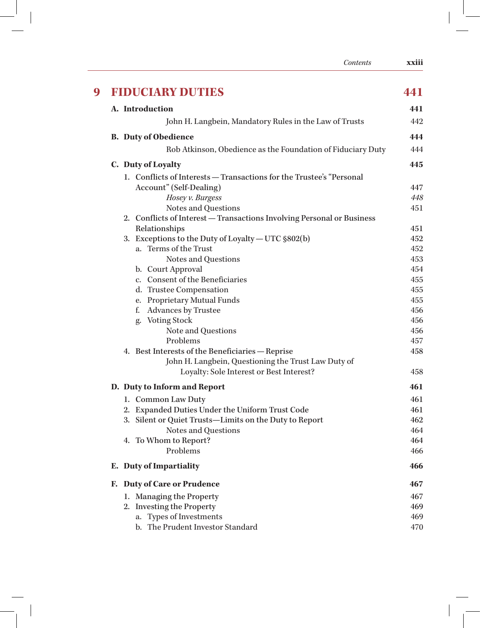|   | Contents                                                                    | xxiii      |
|---|-----------------------------------------------------------------------------|------------|
| 9 | <b>FIDUCIARY DUTIES</b>                                                     | 441        |
|   | A. Introduction                                                             | 441        |
|   | John H. Langbein, Mandatory Rules in the Law of Trusts                      | 442        |
|   |                                                                             |            |
|   | <b>B.</b> Duty of Obedience                                                 | 444        |
|   | Rob Atkinson, Obedience as the Foundation of Fiduciary Duty                 | 444        |
|   | C. Duty of Loyalty                                                          | 445        |
|   | 1. Conflicts of Interests — Transactions for the Trustee's "Personal        |            |
|   | Account" (Self-Dealing)                                                     | 447        |
|   | Hosey v. Burgess                                                            | 448        |
|   | Notes and Questions                                                         | 451        |
|   | 2. Conflicts of Interest - Transactions Involving Personal or Business      |            |
|   | Relationships                                                               | 451        |
|   | 3. Exceptions to the Duty of Loyalty — UTC §802(b)<br>a. Terms of the Trust | 452<br>452 |
|   | Notes and Questions                                                         | 453        |
|   | b. Court Approval                                                           | 454        |
|   | c. Consent of the Beneficiaries                                             | 455        |
|   | d. Trustee Compensation                                                     | 455        |
|   | e. Proprietary Mutual Funds                                                 | 455        |
|   | Advances by Trustee<br>f.                                                   | 456        |
|   | g. Voting Stock                                                             | 456        |
|   | Note and Questions                                                          | 456        |
|   | Problems                                                                    | 457        |
|   | 4. Best Interests of the Beneficiaries - Reprise                            | 458        |
|   | John H. Langbein, Questioning the Trust Law Duty of                         |            |
|   | Loyalty: Sole Interest or Best Interest?                                    | 458        |
|   | D. Duty to Inform and Report                                                | 461        |
|   | 1. Common Law Duty                                                          | 461        |
|   | 2. Expanded Duties Under the Uniform Trust Code                             | 461        |
|   | 3. Silent or Quiet Trusts-Limits on the Duty to Report                      | 462        |
|   | Notes and Questions                                                         | 464        |
|   | 4. To Whom to Report?                                                       | 464        |
|   | Problems                                                                    | 466        |
|   | E. Duty of Impartiality                                                     | 466        |
|   | <b>Duty of Care or Prudence</b><br>Е.                                       | 467        |
|   | 1. Managing the Property                                                    | 467        |
|   | 2. Investing the Property                                                   | 469        |
|   | a. Types of Investments                                                     | 469        |
|   | b. The Prudent Investor Standard                                            | 470        |

 $\begin{array}{c} \hline \end{array}$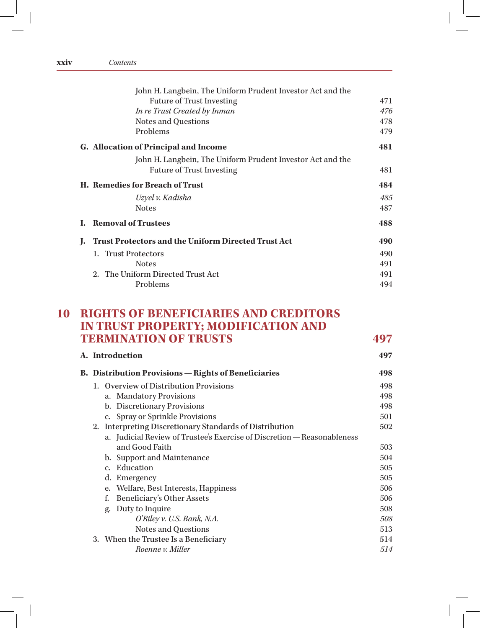| John H. Langbein, The Uniform Prudent Investor Act and the |                                                            |  |  |  |
|------------------------------------------------------------|------------------------------------------------------------|--|--|--|
| <b>Future of Trust Investing</b>                           | 471                                                        |  |  |  |
| In re Trust Created by Inman                               | 476                                                        |  |  |  |
| Notes and Questions                                        | 478                                                        |  |  |  |
| Problems                                                   | 479                                                        |  |  |  |
| <b>G.</b> Allocation of Principal and Income               | 481                                                        |  |  |  |
|                                                            |                                                            |  |  |  |
| <b>Future of Trust Investing</b>                           | 481                                                        |  |  |  |
| H. Remedies for Breach of Trust                            |                                                            |  |  |  |
| Uzyel v. Kadisha                                           | 485                                                        |  |  |  |
| <b>Notes</b>                                               | 487                                                        |  |  |  |
| <b>Removal of Trustees</b>                                 | 488                                                        |  |  |  |
| <b>Trust Protectors and the Uniform Directed Trust Act</b> | 490                                                        |  |  |  |
| 1. Trust Protectors                                        | 490                                                        |  |  |  |
| <b>Notes</b>                                               | 491                                                        |  |  |  |
| 2. The Uniform Directed Trust Act                          | 491                                                        |  |  |  |
| Problems                                                   | 494                                                        |  |  |  |
|                                                            | John H. Langbein, The Uniform Prudent Investor Act and the |  |  |  |

## **10 RIGHTS OF BENEFICIARIES AND CREDITORS IN TRUST PROPERTY; MODIFICATION AND TERMINATION OF TRUSTS 497**

| A. Introduction                                             |                                                                         |     |  |  |
|-------------------------------------------------------------|-------------------------------------------------------------------------|-----|--|--|
| <b>B.</b> Distribution Provisions — Rights of Beneficiaries |                                                                         |     |  |  |
|                                                             | 1. Overview of Distribution Provisions                                  | 498 |  |  |
|                                                             | a. Mandatory Provisions                                                 | 498 |  |  |
|                                                             | b. Discretionary Provisions                                             | 498 |  |  |
|                                                             | c. Spray or Sprinkle Provisions                                         | 501 |  |  |
|                                                             | 2. Interpreting Discretionary Standards of Distribution                 | 502 |  |  |
|                                                             | a. Judicial Review of Trustee's Exercise of Discretion — Reasonableness |     |  |  |
|                                                             | and Good Faith                                                          | 503 |  |  |
|                                                             | b. Support and Maintenance                                              | 504 |  |  |
|                                                             | Education<br>$C_{\star}$                                                | 505 |  |  |
|                                                             | d. Emergency                                                            | 505 |  |  |
|                                                             | e. Welfare, Best Interests, Happiness                                   | 506 |  |  |
|                                                             | Beneficiary's Other Assets<br>f.                                        | 506 |  |  |
|                                                             | Duty to Inquire<br>g.                                                   | 508 |  |  |
|                                                             | O'Riley v. U.S. Bank, N.A.                                              | 508 |  |  |
|                                                             | Notes and Questions                                                     | 513 |  |  |
|                                                             | 3. When the Trustee Is a Beneficiary                                    | 514 |  |  |
|                                                             | Roenne v. Miller                                                        | 514 |  |  |
|                                                             |                                                                         |     |  |  |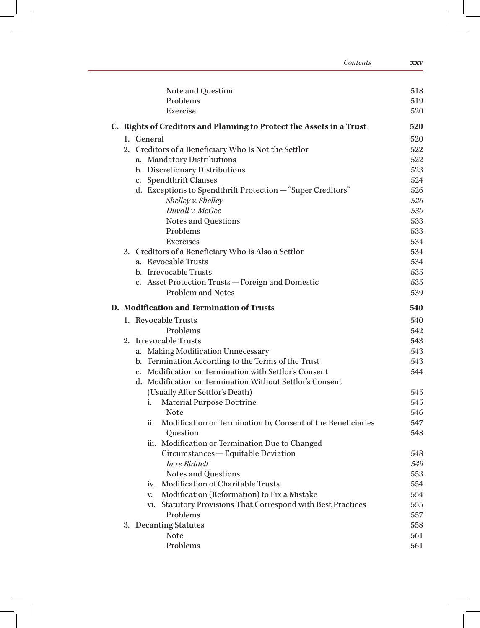| Contents                                                               | <b>XXV</b> |
|------------------------------------------------------------------------|------------|
| Note and Question                                                      | 518        |
| Problems                                                               | 519        |
| Exercise                                                               | 520        |
| C. Rights of Creditors and Planning to Protect the Assets in a Trust   | 520        |
| 1. General                                                             | 520        |
| 2. Creditors of a Beneficiary Who Is Not the Settlor                   | 522        |
| a. Mandatory Distributions                                             | 522        |
| b. Discretionary Distributions                                         | 523        |
| c. Spendthrift Clauses                                                 | 524        |
| d. Exceptions to Spendthrift Protection - "Super Creditors"            | 526        |
| Shelley v. Shelley                                                     | 526        |
| Duvall v. McGee                                                        | 530        |
| Notes and Questions                                                    | 533        |
| Problems                                                               | 533        |
| Exercises                                                              | 534        |
| 3. Creditors of a Beneficiary Who Is Also a Settlor                    | 534        |
| a. Revocable Trusts                                                    | 534        |
| b. Irrevocable Trusts                                                  | 535        |
| c. Asset Protection Trusts - Foreign and Domestic<br>Problem and Notes | 535<br>539 |
| D. Modification and Termination of Trusts                              | 540        |
| 1. Revocable Trusts                                                    | 540        |
| Problems                                                               | 542        |
| 2. Irrevocable Trusts                                                  | 543        |
| a. Making Modification Unnecessary                                     | 543        |
| b. Termination According to the Terms of the Trust                     | 543        |
| c. Modification or Termination with Settlor's Consent                  | 544        |
| d. Modification or Termination Without Settlor's Consent               |            |
| (Usually After Settlor's Death)                                        | 545        |
| Material Purpose Doctrine<br>i.                                        | 545        |
| Note                                                                   | 546        |
| Modification or Termination by Consent of the Beneficiaries<br>ii.     | 547        |
| Question                                                               | 548        |
| iii. Modification or Termination Due to Changed                        |            |
| Circumstances - Equitable Deviation                                    | 548        |
| In re Riddell                                                          | 549        |
| Notes and Questions                                                    | 553        |
| Modification of Charitable Trusts<br>iv.                               | 554        |
| Modification (Reformation) to Fix a Mistake<br>v.                      | 554        |
| vi. Statutory Provisions That Correspond with Best Practices           | 555        |
| Problems                                                               | 557        |
|                                                                        |            |
| 3. Decanting Statutes<br><b>Note</b>                                   | 558<br>561 |

 $\sqrt{2}$ 

 $-\frac{1}{2}$  |

 $\overline{\phantom{a}}$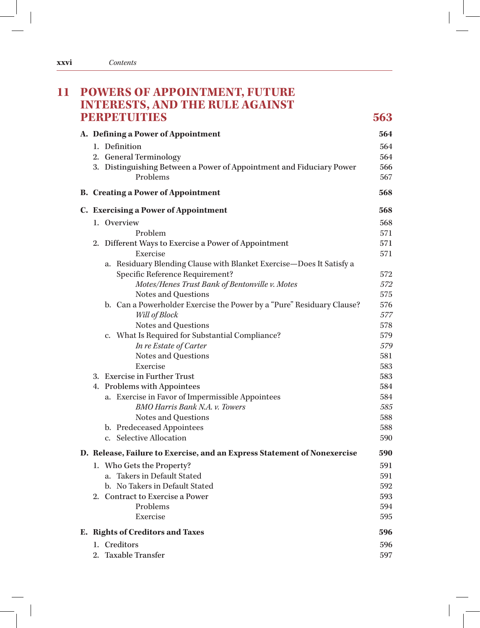| <b>PERPETUTIES</b> |                                                                          |            |  |  |  |
|--------------------|--------------------------------------------------------------------------|------------|--|--|--|
|                    | A. Defining a Power of Appointment                                       | 564        |  |  |  |
|                    | 1. Definition                                                            | 564        |  |  |  |
|                    | 2. General Terminology                                                   | 564        |  |  |  |
|                    | 3. Distinguishing Between a Power of Appointment and Fiduciary Power     | 566        |  |  |  |
|                    | Problems                                                                 | 567        |  |  |  |
|                    | <b>B.</b> Creating a Power of Appointment                                | 568        |  |  |  |
|                    | <b>C.</b> Exercising a Power of Appointment                              | 568        |  |  |  |
|                    | 1. Overview                                                              | 568        |  |  |  |
|                    | Problem                                                                  | 571        |  |  |  |
|                    | 2. Different Ways to Exercise a Power of Appointment                     | 571        |  |  |  |
|                    | Exercise                                                                 | 571        |  |  |  |
|                    | a. Residuary Blending Clause with Blanket Exercise-Does It Satisfy a     |            |  |  |  |
|                    | Specific Reference Requirement?                                          | 572        |  |  |  |
|                    | Motes/Henes Trust Bank of Bentonville v. Motes                           | 572        |  |  |  |
|                    | Notes and Questions                                                      | 575        |  |  |  |
|                    | b. Can a Powerholder Exercise the Power by a "Pure" Residuary Clause?    | 576        |  |  |  |
|                    | Will of Block                                                            | 577        |  |  |  |
|                    | Notes and Questions                                                      | 578        |  |  |  |
|                    | c. What Is Required for Substantial Compliance?                          | 579        |  |  |  |
|                    | In re Estate of Carter                                                   | 579        |  |  |  |
|                    | Notes and Questions<br>Exercise                                          | 581<br>583 |  |  |  |
|                    | 3. Exercise in Further Trust                                             | 583        |  |  |  |
|                    | 4. Problems with Appointees                                              | 584        |  |  |  |
|                    | a. Exercise in Favor of Impermissible Appointees                         | 584        |  |  |  |
|                    | <b>BMO Harris Bank N.A. v. Towers</b>                                    | 585        |  |  |  |
|                    | Notes and Questions                                                      | 588        |  |  |  |
|                    | b. Predeceased Appointees                                                | 588        |  |  |  |
|                    | c. Selective Allocation                                                  | 590        |  |  |  |
|                    | D. Release, Failure to Exercise, and an Express Statement of Nonexercise | 590        |  |  |  |
|                    | 1. Who Gets the Property?                                                | 591        |  |  |  |
|                    | a. Takers in Default Stated                                              | 591        |  |  |  |
|                    | b. No Takers in Default Stated                                           | 592        |  |  |  |
|                    | 2. Contract to Exercise a Power                                          | 593        |  |  |  |
|                    | Problems                                                                 | 594        |  |  |  |
|                    | Exercise                                                                 | 595        |  |  |  |
|                    | E. Rights of Creditors and Taxes                                         | 596        |  |  |  |
|                    | 1. Creditors                                                             | 596        |  |  |  |
|                    | 2. Taxable Transfer                                                      | 597        |  |  |  |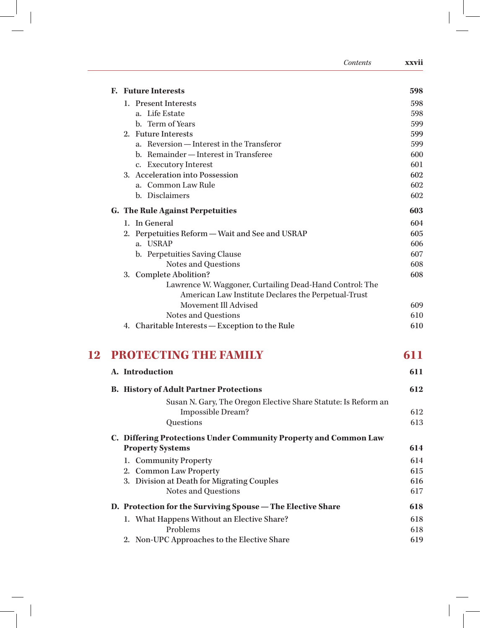|    | Contents                                                                          | xxvii      |
|----|-----------------------------------------------------------------------------------|------------|
|    | <b>F.</b> Future Interests                                                        | 598        |
|    | 1. Present Interests                                                              | 598        |
|    | a. Life Estate                                                                    | 598        |
|    | b. Term of Years                                                                  | 599        |
|    | 2. Future Interests                                                               | 599        |
|    | a. Reversion - Interest in the Transferor                                         | 599        |
|    | b. Remainder - Interest in Transferee                                             | 600        |
|    | c. Executory Interest                                                             | 601        |
|    | 3. Acceleration into Possession                                                   | 602        |
|    | a. Common Law Rule                                                                | 602        |
|    | b. Disclaimers                                                                    | 602        |
|    | <b>G.</b> The Rule Against Perpetuities                                           | 603        |
|    | 1. In General                                                                     | 604        |
|    | 2. Perpetuities Reform - Wait and See and USRAP                                   | 605        |
|    | a. USRAP                                                                          | 606        |
|    | b. Perpetuities Saving Clause                                                     | 607        |
|    | Notes and Questions                                                               | 608<br>608 |
|    | 3. Complete Abolition?<br>Lawrence W. Waggoner, Curtailing Dead-Hand Control: The |            |
|    | American Law Institute Declares the Perpetual-Trust                               |            |
|    | Movement Ill Advised                                                              | 609        |
|    | Notes and Questions                                                               | 610        |
|    | 4. Charitable Interests - Exception to the Rule                                   | 610        |
| 12 | PROTECTING THE FAMILY                                                             | 611        |
|    | A. Introduction                                                                   | 611        |
|    | <b>B.</b> History of Adult Partner Protections                                    | 612        |
|    | Susan N. Gary, The Oregon Elective Share Statute: Is Reform an                    |            |
|    | Impossible Dream?                                                                 | 612        |
|    | Questions                                                                         | 613        |
|    | C. Differing Protections Under Community Property and Common Law                  |            |
|    | <b>Property Systems</b>                                                           | 614        |
|    | 1. Community Property                                                             | 614        |
|    | 2. Common Law Property                                                            | 615        |
|    | 3. Division at Death for Migrating Couples                                        | 616        |
|    | Notes and Questions                                                               | 617        |
|    | D. Protection for the Surviving Spouse - The Elective Share                       | 618        |
|    | 1. What Happens Without an Elective Share?                                        | 618        |
|    | Problems                                                                          | 618        |
|    | 2. Non-UPC Approaches to the Elective Share                                       | 619        |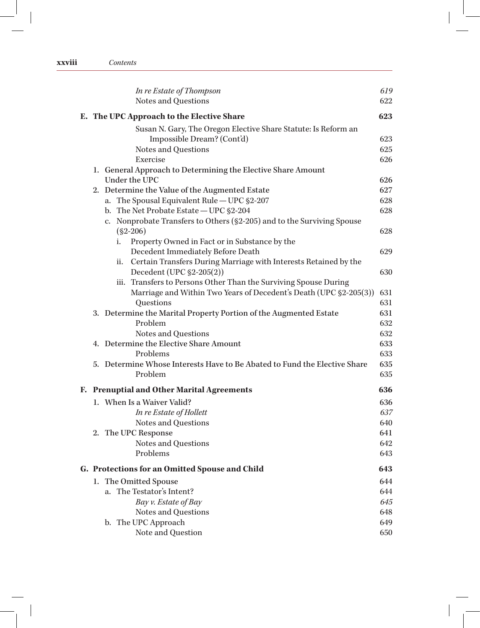|    | In re Estate of Thompson                                                       | 619        |
|----|--------------------------------------------------------------------------------|------------|
|    | Notes and Questions                                                            | 622        |
|    | E. The UPC Approach to the Elective Share                                      | 623        |
|    | Susan N. Gary, The Oregon Elective Share Statute: Is Reform an                 |            |
|    | Impossible Dream? (Cont'd)                                                     | 623        |
|    | Notes and Questions                                                            | 625        |
|    | Exercise                                                                       | 626        |
|    | 1. General Approach to Determining the Elective Share Amount                   |            |
|    | Under the UPC                                                                  | 626        |
|    | 2. Determine the Value of the Augmented Estate                                 | 627        |
|    | a. The Spousal Equivalent Rule - UPC §2-207                                    | 628        |
|    | b. The Net Probate Estate - UPC §2-204                                         | 628        |
|    | c. Nonprobate Transfers to Others (§2-205) and to the Surviving Spouse         |            |
|    | $(S2-206)$                                                                     | 628        |
|    | Property Owned in Fact or in Substance by the<br>i.                            |            |
|    | Decedent Immediately Before Death                                              | 629        |
|    | Certain Transfers During Marriage with Interests Retained by the<br>ii.        |            |
|    | Decedent (UPC §2-205(2))                                                       | 630        |
|    | iii. Transfers to Persons Other Than the Surviving Spouse During               |            |
|    | Marriage and Within Two Years of Decedent's Death (UPC §2-205(3))<br>Questions | 631        |
|    |                                                                                | 631<br>631 |
|    | 3. Determine the Marital Property Portion of the Augmented Estate<br>Problem   | 632        |
|    | Notes and Questions                                                            | 632        |
|    | 4. Determine the Elective Share Amount                                         | 633        |
|    | Problems                                                                       | 633        |
|    | 5. Determine Whose Interests Have to Be Abated to Fund the Elective Share      | 635        |
|    | Problem                                                                        | 635        |
|    | F. Prenuptial and Other Marital Agreements                                     | 636        |
|    | 1. When Is a Waiver Valid?                                                     | 636        |
|    | In re Estate of Hollett                                                        | 637        |
|    | Notes and Questions                                                            | 640        |
|    | 2. The UPC Response                                                            | 641        |
|    | Notes and Questions                                                            | 642        |
|    | Problems                                                                       | 643        |
|    | G. Protections for an Omitted Spouse and Child                                 | 643        |
| 1. | The Omitted Spouse                                                             | 644        |
|    | a. The Testator's Intent?                                                      | 644        |
|    | Bay v. Estate of Bay                                                           | 645        |
|    | Notes and Questions                                                            | 648        |
|    | b. The UPC Approach                                                            | 649        |
|    | Note and Question                                                              | 650        |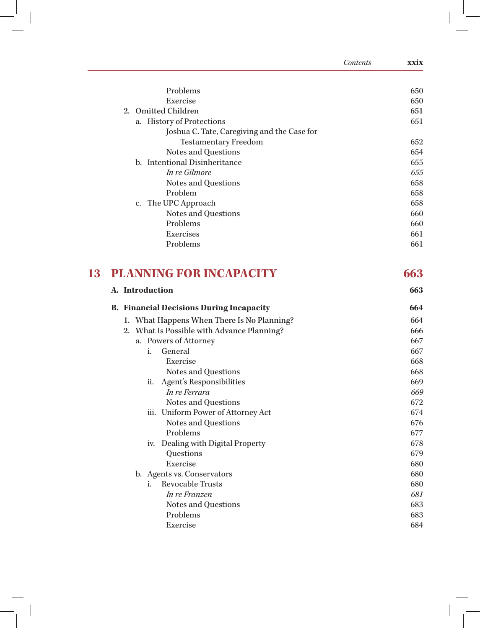|                                                 | Contents | xxix |
|-------------------------------------------------|----------|------|
| Problems                                        |          | 650  |
| Exercise                                        |          | 650  |
| <b>Omitted Children</b><br>2.                   |          | 651  |
| a. History of Protections                       |          | 651  |
| Joshua C. Tate, Caregiving and the Case for     |          |      |
| <b>Testamentary Freedom</b>                     |          | 652  |
| Notes and Questions                             |          | 654  |
| b. Intentional Disinheritance                   |          | 655  |
| In re Gilmore                                   |          | 655  |
| Notes and Questions                             |          | 658  |
| Problem                                         |          | 658  |
| c. The UPC Approach                             |          | 658  |
| Notes and Questions                             |          | 660  |
| Problems                                        |          | 660  |
| Exercises                                       |          | 661  |
| Problems                                        |          | 661  |
| <b>PLANNING FOR INCAPACITY</b><br>13            |          | 663  |
| A. Introduction                                 |          | 663  |
| <b>B.</b> Financial Decisions During Incapacity |          | 664  |
| 1. What Happens When There Is No Planning?      |          | 664  |
| 2. What Is Possible with Advance Planning?      |          | 666  |
| a. Powers of Attorney                           |          | 667  |
| i.<br>General                                   |          | 667  |
| Exercise                                        |          | 668  |
| Notes and Questions                             |          | 668  |
| Agent's Responsibilities<br>ii.                 |          | 669  |
| In re Ferrara                                   |          | 669  |
| Notes and Questions                             |          | 672  |
| iii. Uniform Power of Attorney Act              |          | 674  |
| Notes and Questions                             |          | 676  |
| Problems                                        |          | 677  |
| iv. Dealing with Digital Property               |          | 678  |
| Questions                                       |          | 679  |
| Exercise                                        |          | 680  |
| b. Agents vs. Conservators                      |          | 680  |
| Revocable Trusts<br>i.                          |          | 680  |
| In re Franzen                                   |          | 681  |
| Notes and Questions                             |          | 683  |
| Problems                                        |          | 683  |
| Exercise                                        |          | 684  |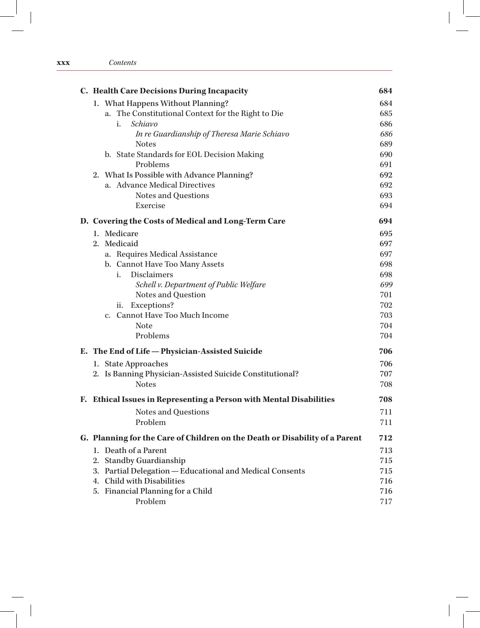### **xxx** *Contents*

| C. Health Care Decisions During Incapacity                                  | 684 |
|-----------------------------------------------------------------------------|-----|
| 1. What Happens Without Planning?                                           | 684 |
| a. The Constitutional Context for the Right to Die                          | 685 |
| Schiavo<br>i.                                                               | 686 |
| In re Guardianship of Theresa Marie Schiavo                                 | 686 |
| <b>Notes</b>                                                                | 689 |
| b. State Standards for EOL Decision Making                                  | 690 |
| Problems                                                                    | 691 |
| 2. What Is Possible with Advance Planning?                                  | 692 |
| a. Advance Medical Directives                                               | 692 |
| Notes and Questions                                                         | 693 |
| Exercise                                                                    | 694 |
| D. Covering the Costs of Medical and Long-Term Care                         | 694 |
| 1. Medicare                                                                 | 695 |
| 2. Medicaid                                                                 | 697 |
| a. Requires Medical Assistance                                              | 697 |
| b. Cannot Have Too Many Assets                                              | 698 |
| <b>Disclaimers</b><br>i.                                                    | 698 |
| Schell v. Department of Public Welfare                                      | 699 |
| Notes and Question                                                          | 701 |
| Exceptions?<br>ii.                                                          | 702 |
| c. Cannot Have Too Much Income                                              | 703 |
| <b>Note</b>                                                                 | 704 |
| Problems                                                                    | 704 |
| E. The End of Life - Physician-Assisted Suicide                             | 706 |
| 1. State Approaches                                                         | 706 |
| 2. Is Banning Physician-Assisted Suicide Constitutional?                    | 707 |
| <b>Notes</b>                                                                | 708 |
| F. Ethical Issues in Representing a Person with Mental Disabilities         | 708 |
| Notes and Questions                                                         | 711 |
| Problem                                                                     | 711 |
| G. Planning for the Care of Children on the Death or Disability of a Parent | 712 |
| 1. Death of a Parent                                                        | 713 |
| <b>Standby Guardianship</b><br>2.                                           | 715 |
| Partial Delegation - Educational and Medical Consents<br>3.                 | 715 |
| 4. Child with Disabilities                                                  | 716 |
| 5. Financial Planning for a Child                                           | 716 |
| Problem                                                                     | 717 |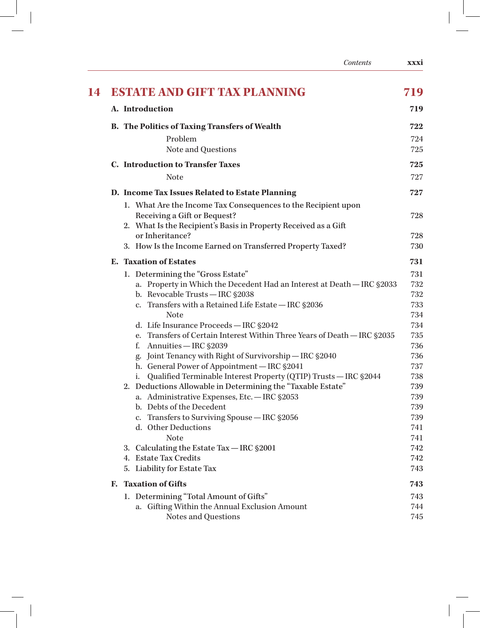|    | Contents                                                                                                                                                         | <b>xxxi</b> |
|----|------------------------------------------------------------------------------------------------------------------------------------------------------------------|-------------|
| 14 | <b>ESTATE AND GIFT TAX PLANNING</b>                                                                                                                              | 719         |
|    | A. Introduction                                                                                                                                                  | 719         |
|    | <b>B.</b> The Politics of Taxing Transfers of Wealth                                                                                                             | 722         |
|    | Problem<br>Note and Questions                                                                                                                                    | 724<br>725  |
|    | <b>C.</b> Introduction to Transfer Taxes                                                                                                                         | 725         |
|    | <b>Note</b>                                                                                                                                                      | 727         |
|    | D. Income Tax Issues Related to Estate Planning                                                                                                                  | 727         |
|    | 1. What Are the Income Tax Consequences to the Recipient upon<br>Receiving a Gift or Bequest?<br>2. What Is the Recipient's Basis in Property Received as a Gift | 728         |
|    | or Inheritance?                                                                                                                                                  | 728         |
|    | 3. How Is the Income Earned on Transferred Property Taxed?                                                                                                       | 730         |
|    | <b>E.</b> Taxation of Estates                                                                                                                                    | 731         |
|    | 1. Determining the "Gross Estate"                                                                                                                                | 731         |
|    | a. Property in Which the Decedent Had an Interest at Death - IRC §2033                                                                                           | 732         |
|    | b. Revocable Trusts - IRC §2038<br>c. Transfers with a Retained Life Estate - IRC §2036                                                                          | 732<br>733  |
|    | <b>Note</b>                                                                                                                                                      | 734         |
|    | d. Life Insurance Proceeds - IRC §2042                                                                                                                           | 734         |
|    | e. Transfers of Certain Interest Within Three Years of Death - IRC §2035                                                                                         | 735         |
|    | Annuities - IRC §2039<br>f.                                                                                                                                      | 736         |
|    | Joint Tenancy with Right of Survivorship - IRC §2040<br>g.                                                                                                       | 736         |
|    | h. General Power of Appointment - IRC §2041                                                                                                                      | 737         |
|    | Qualified Terminable Interest Property (QTIP) Trusts - IRC §2044<br>i.                                                                                           | 738         |
|    | 2. Deductions Allowable in Determining the "Taxable Estate"                                                                                                      | 739         |
|    | a. Administrative Expenses, Etc. - IRC §2053                                                                                                                     | 739         |
|    | b. Debts of the Decedent                                                                                                                                         | 739         |
|    | c. Transfers to Surviving Spouse - IRC \$2056<br>d. Other Deductions                                                                                             | 739         |
|    | <b>Note</b>                                                                                                                                                      | 741<br>741  |
|    | 3. Calculating the Estate Tax - IRC §2001                                                                                                                        | 742         |
|    | 4. Estate Tax Credits                                                                                                                                            | 742         |
|    | 5. Liability for Estate Tax                                                                                                                                      | 743         |
|    | F. Taxation of Gifts                                                                                                                                             | 743         |
|    | 1. Determining "Total Amount of Gifts"                                                                                                                           | 743         |
|    | a. Gifting Within the Annual Exclusion Amount                                                                                                                    | 744         |
|    | Notes and Questions                                                                                                                                              | 745         |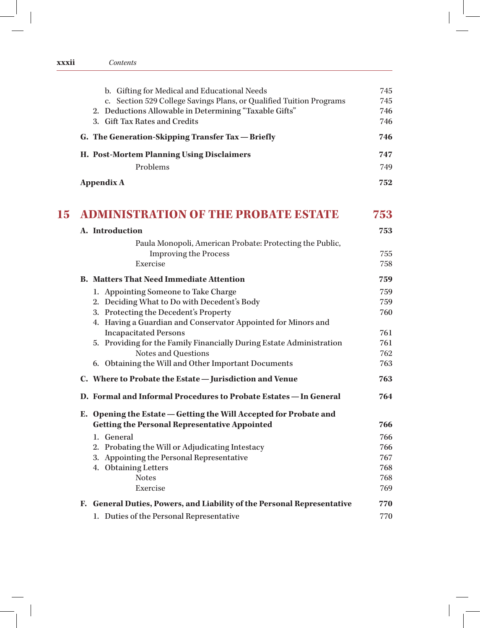| XXXII | Contents |
|-------|----------|
|       |          |

|    | b. Gifting for Medical and Educational Needs<br>c. Section 529 College Savings Plans, or Qualified Tuition Programs | 745<br>745 |
|----|---------------------------------------------------------------------------------------------------------------------|------------|
|    | 2. Deductions Allowable in Determining "Taxable Gifts"                                                              | 746        |
|    | 3. Gift Tax Rates and Credits                                                                                       | 746        |
|    | G. The Generation-Skipping Transfer Tax - Briefly                                                                   | 746        |
|    | H. Post-Mortem Planning Using Disclaimers                                                                           | 747        |
|    | Problems                                                                                                            | 749        |
|    | <b>Appendix A</b>                                                                                                   | 752        |
| 15 | <b>ADMINISTRATION OF THE PROBATE ESTATE</b>                                                                         | 753        |
|    | A. Introduction                                                                                                     | 753        |
|    | Paula Monopoli, American Probate: Protecting the Public,                                                            |            |
|    | <b>Improving the Process</b>                                                                                        | 755        |
|    | Exercise                                                                                                            | 758        |
|    | <b>B.</b> Matters That Need Immediate Attention                                                                     | 759        |
|    | 1. Appointing Someone to Take Charge                                                                                | 759        |
|    | 2. Deciding What to Do with Decedent's Body                                                                         | 759        |
|    | 3. Protecting the Decedent's Property                                                                               | 760        |
|    | 4. Having a Guardian and Conservator Appointed for Minors and                                                       |            |
|    | <b>Incapacitated Persons</b>                                                                                        | 761        |
|    | 5. Providing for the Family Financially During Estate Administration                                                | 761        |
|    | Notes and Questions                                                                                                 | 762        |
|    | 6. Obtaining the Will and Other Important Documents                                                                 | 763        |
|    | C. Where to Probate the Estate - Jurisdiction and Venue                                                             | 763        |
|    | D. Formal and Informal Procedures to Probate Estates - In General                                                   | 764        |
|    | E. Opening the Estate - Getting the Will Accepted for Probate and                                                   |            |
|    | <b>Getting the Personal Representative Appointed</b>                                                                | 766        |
|    | 1. General                                                                                                          | 766        |
|    | 2. Probating the Will or Adjudicating Intestacy                                                                     | 766        |
|    | Appointing the Personal Representative<br>3.<br>4. Obtaining Letters                                                | 767        |
|    | <b>Notes</b>                                                                                                        | 768<br>768 |
|    | Exercise                                                                                                            | 769        |
|    | F. General Duties, Powers, and Liability of the Personal Representative                                             | 770        |
|    | 1. Duties of the Personal Representative                                                                            | 770        |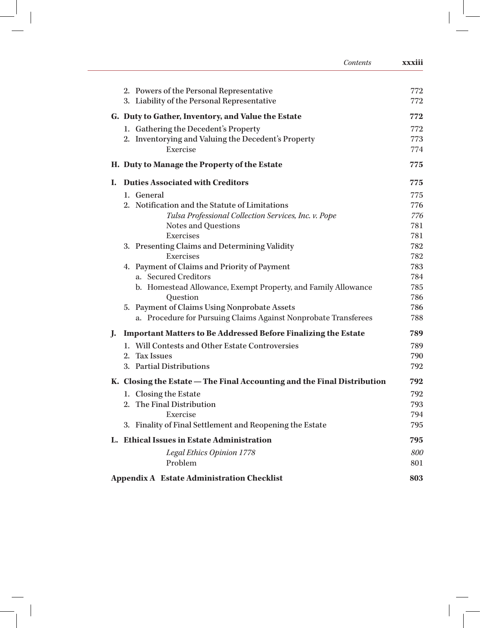|    | Contents                                                                | xxxiii |
|----|-------------------------------------------------------------------------|--------|
|    | 2. Powers of the Personal Representative                                | 772    |
|    | 3. Liability of the Personal Representative                             | 772    |
|    | G. Duty to Gather, Inventory, and Value the Estate                      | 772    |
|    | 1. Gathering the Decedent's Property                                    | 772    |
|    | 2. Inventorying and Valuing the Decedent's Property                     | 773    |
|    | Exercise                                                                | 774    |
|    | H. Duty to Manage the Property of the Estate                            | 775    |
| L. | <b>Duties Associated with Creditors</b>                                 | 775    |
|    | 1. General                                                              | 775    |
|    | 2. Notification and the Statute of Limitations                          | 776    |
|    | Tulsa Professional Collection Services, Inc. v. Pope                    | 776    |
|    | Notes and Questions                                                     | 781    |
|    | Exercises                                                               | 781    |
|    | 3. Presenting Claims and Determining Validity                           | 782    |
|    | Exercises                                                               | 782    |
|    | 4. Payment of Claims and Priority of Payment                            | 783    |
|    | a. Secured Creditors                                                    | 784    |
|    | b. Homestead Allowance, Exempt Property, and Family Allowance           | 785    |
|    | Question                                                                | 786    |
|    | 5. Payment of Claims Using Nonprobate Assets                            | 786    |
|    | a. Procedure for Pursuing Claims Against Nonprobate Transferees         | 788    |
| J. | <b>Important Matters to Be Addressed Before Finalizing the Estate</b>   | 789    |
|    | 1. Will Contests and Other Estate Controversies                         | 789    |
|    | 2. Tax Issues                                                           | 790    |
|    | 3. Partial Distributions                                                | 792    |
|    | K. Closing the Estate – The Final Accounting and the Final Distribution | 792    |
|    | 1. Closing the Estate                                                   | 792    |
|    | 2. The Final Distribution                                               | 793    |
|    | Exercise                                                                | 794    |
|    | 3. Finality of Final Settlement and Reopening the Estate                | 795    |
|    | L. Ethical Issues in Estate Administration                              | 795    |
|    | Legal Ethics Opinion 1778                                               | 800    |
|    | Problem                                                                 | 801    |
|    | <b>Appendix A Estate Administration Checklist</b>                       | 803    |

 $\begin{bmatrix} 1 & 1 \end{bmatrix}$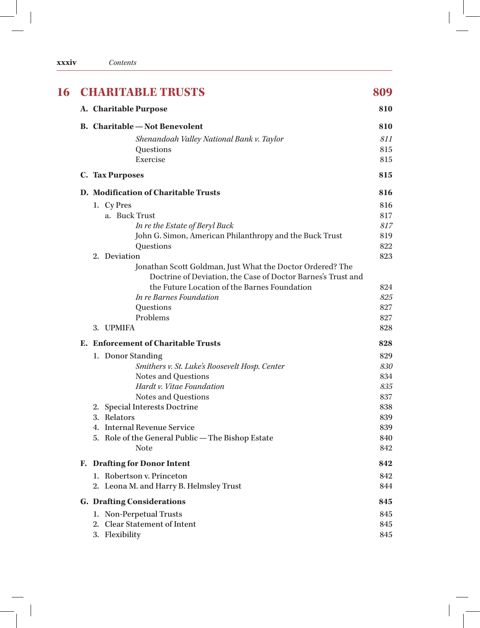| <b>XXXIV</b> | Contents |
|--------------|----------|
|              |          |

| 16 | <b>CHARITABLE TRUSTS</b>                                                                                                  | 809 |
|----|---------------------------------------------------------------------------------------------------------------------------|-----|
|    | A. Charitable Purpose                                                                                                     | 810 |
|    | <b>B.</b> Charitable — Not Benevolent                                                                                     | 810 |
|    | Shenandoah Valley National Bank v. Taylor                                                                                 | 811 |
|    | Questions                                                                                                                 | 815 |
|    | Exercise                                                                                                                  | 815 |
|    | <b>C. Tax Purposes</b>                                                                                                    | 815 |
|    | D. Modification of Charitable Trusts                                                                                      | 816 |
|    | 1. Cy Pres                                                                                                                | 816 |
|    | a. Buck Trust                                                                                                             | 817 |
|    | In re the Estate of Beryl Buck                                                                                            | 817 |
|    | John G. Simon, American Philanthropy and the Buck Trust                                                                   | 819 |
|    | Questions                                                                                                                 | 822 |
|    | 2. Deviation                                                                                                              | 823 |
|    | Jonathan Scott Goldman, Just What the Doctor Ordered? The<br>Doctrine of Deviation, the Case of Doctor Barnes's Trust and |     |
|    | the Future Location of the Barnes Foundation                                                                              | 824 |
|    | In re Barnes Foundation                                                                                                   | 825 |
|    | Questions                                                                                                                 | 827 |
|    | Problems                                                                                                                  | 827 |
|    | 3. UPMIFA                                                                                                                 | 828 |
|    | E. Enforcement of Charitable Trusts                                                                                       | 828 |
|    | 1. Donor Standing                                                                                                         | 829 |
|    | Smithers v. St. Luke's Roosevelt Hosp. Center                                                                             | 830 |
|    | Notes and Questions                                                                                                       | 834 |
|    | Hardt v. Vitae Foundation                                                                                                 | 835 |
|    | Notes and Questions                                                                                                       | 837 |
|    | 2. Special Interests Doctrine                                                                                             | 838 |
|    | 3. Relators                                                                                                               | 839 |
|    | 4. Internal Revenue Service                                                                                               | 839 |
|    | 5. Role of the General Public - The Bishop Estate                                                                         | 840 |
|    | <b>Note</b>                                                                                                               | 842 |
|    | F. Drafting for Donor Intent                                                                                              | 842 |
|    | 1. Robertson v. Princeton                                                                                                 | 842 |
|    | 2. Leona M. and Harry B. Helmsley Trust                                                                                   | 844 |
|    | <b>G. Drafting Considerations</b>                                                                                         | 845 |
|    | 1. Non-Perpetual Trusts                                                                                                   | 845 |
|    | 2. Clear Statement of Intent                                                                                              | 845 |
|    | 3. Flexibility                                                                                                            | 845 |